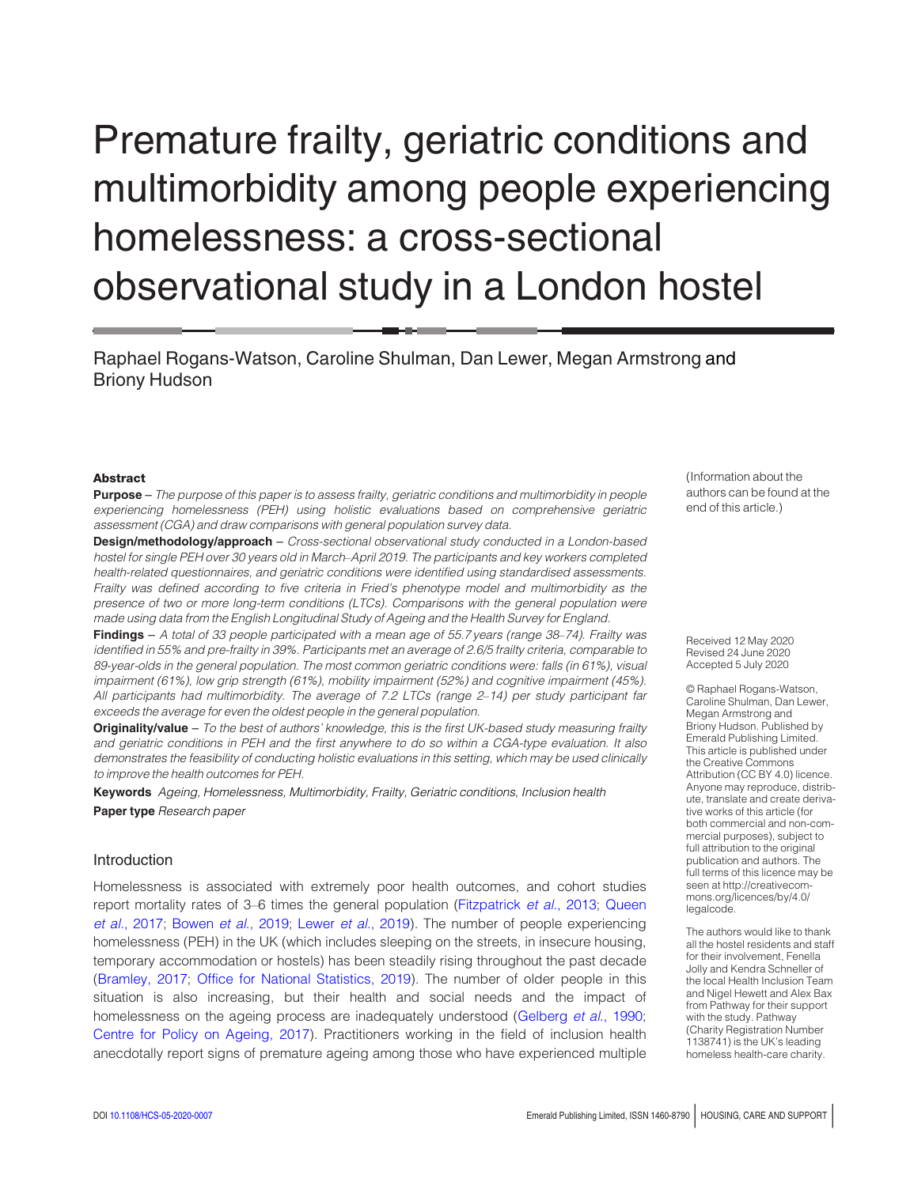# Premature frailty, geriatric conditions and multimorbidity among people experiencing homelessness: a cross-sectional observational study in a London hostel

Raphael Rogans-Watson, Caroline Shulman, Dan Lewer, Megan Armstrong and Briony Hudson

#### Abstract

Purpose – The purpose of this paper is to assess frailty, geriatric conditions and multimorbidity in people experiencing homelessness (PEH) using holistic evaluations based on comprehensive geriatric assessment (CGA) and draw comparisons with general population survey data.

**Design/methodology/approach** – Cross-sectional observational study conducted in a London-based hostel for single PEH over 30 years old in March–April 2019. The participants and key workers completed health-related questionnaires, and geriatric conditions were identified using standardised assessments. Frailty was defined according to five criteria in Fried's phenotype model and multimorbidity as the presence of two or more long-term conditions (LTCs). Comparisons with the general population were made using data from the English Longitudinal Study of Ageing and the Health Survey for England.

Findings - A total of 33 people participated with a mean age of 55.7 years (range 38-74). Frailty was identified in 55% and pre-frailty in 39%. Participants met an average of 2.6/5 frailty criteria, comparable to 89-year-olds in the general population. The most common geriatric conditions were: falls (in 61%), visual impairment (61%), low grip strength (61%), mobility impairment (52%) and cognitive impairment (45%). All participants had multimorbidity. The average of 7.2 LTCs (range 2–14) per study participant far exceeds the average for even the oldest people in the general population.

Originality/value - To the best of authors' knowledge, this is the first UK-based study measuring frailty and geriatric conditions in PEH and the first anywhere to do so within a CGA-type evaluation. It also demonstrates the feasibility of conducting holistic evaluations in this setting, which may be used clinically to improve the health outcomes for PEH.

Keywords Ageing, Homelessness, Multimorbidity, Frailty, Geriatric conditions, Inclusion health Paper type Research paper

### Introduction

Homelessness is associated with extremely poor health outcomes, and cohort studies report mortality rates of 3–6 times the general population ([Fitzpatrick](#page-10-0) *et al.*, 2013; [Queen](#page-10-1) et al.[, 2017;](#page-10-1) [Bowen](#page-9-0) et al., 2019; Lewer et al.[, 2019](#page-10-2)). The number of people experiencing homelessness (PEH) in the UK (which includes sleeping on the streets, in insecure housing, temporary accommodation or hostels) has been steadily rising throughout the past decade ([Bramley, 2017;](#page-9-1) [Office for National Statistics, 2019\)](#page-10-3). The number of older people in this situation is also increasing, but their health and social needs and the impact of homelessness on the ageing process are inadequately understood ([Gelberg](#page-10-4) et al., 1990; [Centre for Policy on Ageing, 2017\)](#page-9-2). Practitioners working in the field of inclusion health anecdotally report signs of premature ageing among those who have experienced multiple

(Information about the authors can be found at the end of this article.)

Received 12 May 2020 Revised 24 June 2020 Accepted 5 July 2020

© Raphael Rogans-Watson, Caroline Shulman, Dan Lewer, Megan Armstrong and Briony Hudson. Published by Emerald Publishing Limited. This article is published under the Creative Commons Attribution (CC BY 4.0) licence. Anyone may reproduce, distribute, translate and create derivative works of this article (for both commercial and non-commercial purposes), subject to full attribution to the original publication and authors. The full terms of this licence may be seen at http://creativecommons.org/licences/by/4.0/ legalcode.

The authors would like to thank all the hostel residents and staff for their involvement, Fenella Jolly and Kendra Schneller of the local Health Inclusion Team and Nigel Hewett and Alex Bax from Pathway for their support with the study. Pathway (Charity Registration Number 1138741) is the UK's leading homeless health-care charity.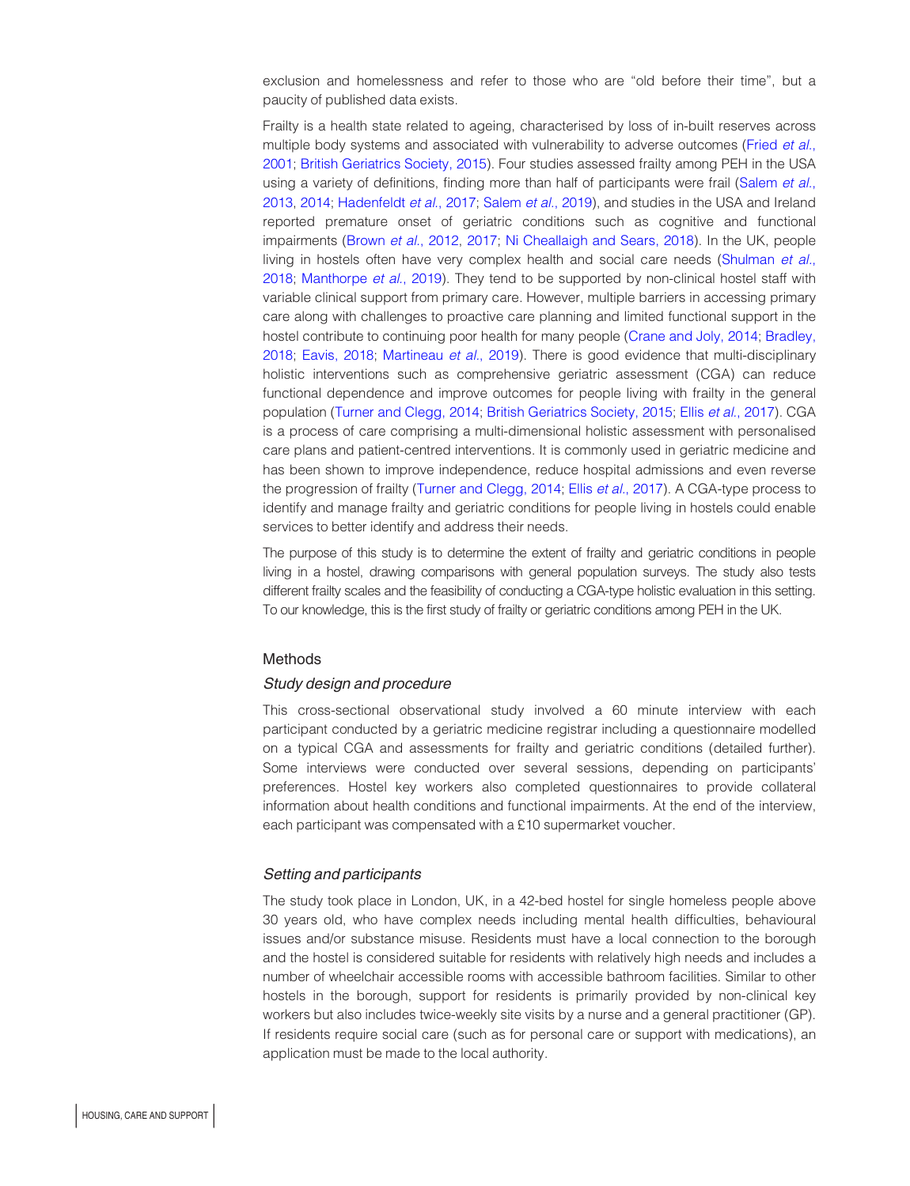exclusion and homelessness and refer to those who are "old before their time", but a paucity of published data exists.

Frailty is a health state related to ageing, characterised by loss of in-built reserves across multiple body systems and associated with vulnerability to adverse outcomes ([Fried](#page-10-5) et al., [2001;](#page-10-5) [British Geriatrics Society, 2015](#page-9-3)). Four studies assessed frailty among PEH in the USA using a variety of definitions, finding more than half of participants were frail ([Salem](#page-11-0) et al., [2013,](#page-11-0) [2014](#page-11-1); [Hadenfeldt](#page-10-6) et al., 2017; [Salem](#page-11-2) et al., 2019), and studies in the USA and Ireland reported premature onset of geriatric conditions such as cognitive and functional impairments (Brown et al.[, 2012](#page-9-4), [2017](#page-9-5); [Ni Cheallaigh and Sears, 2018\)](#page-10-7). In the UK, people living in hostels often have very complex health and social care needs [\(Shulman](#page-11-3) et al., [2018;](#page-11-3) [Manthorpe](#page-10-8) et al., 2019). They tend to be supported by non-clinical hostel staff with variable clinical support from primary care. However, multiple barriers in accessing primary care along with challenges to proactive care planning and limited functional support in the hostel contribute to continuing poor health for many people [\(Crane and Joly, 2014;](#page-9-6) [Bradley,](#page-9-7) [2018;](#page-9-7) [Eavis, 2018;](#page-9-8) [Martineau](#page-10-9) et al., 2019). There is good evidence that multi-disciplinary holistic interventions such as comprehensive geriatric assessment (CGA) can reduce functional dependence and improve outcomes for people living with frailty in the general population [\(Turner and Clegg, 2014;](#page-11-4) [British Geriatrics Society, 2015](#page-9-3); Ellis et al.[, 2017\)](#page-10-10). CGA is a process of care comprising a multi-dimensional holistic assessment with personalised care plans and patient-centred interventions. It is commonly used in geriatric medicine and has been shown to improve independence, reduce hospital admissions and even reverse the progression of frailty ([Turner and Clegg, 2014](#page-11-4); Ellis et al.[, 2017\)](#page-10-10). A CGA-type process to identify and manage frailty and geriatric conditions for people living in hostels could enable services to better identify and address their needs.

The purpose of this study is to determine the extent of frailty and geriatric conditions in people living in a hostel, drawing comparisons with general population surveys. The study also tests different frailty scales and the feasibility of conducting a CGA-type holistic evaluation in this setting. To our knowledge, this is the first study of frailty or geriatric conditions among PEH in the UK.

#### Methods

#### Study design and procedure

This cross-sectional observational study involved a 60 minute interview with each participant conducted by a geriatric medicine registrar including a questionnaire modelled on a typical CGA and assessments for frailty and geriatric conditions (detailed further). Some interviews were conducted over several sessions, depending on participants' preferences. Hostel key workers also completed questionnaires to provide collateral information about health conditions and functional impairments. At the end of the interview, each participant was compensated with a £10 supermarket voucher.

#### Setting and participants

The study took place in London, UK, in a 42-bed hostel for single homeless people above 30 years old, who have complex needs including mental health difficulties, behavioural issues and/or substance misuse. Residents must have a local connection to the borough and the hostel is considered suitable for residents with relatively high needs and includes a number of wheelchair accessible rooms with accessible bathroom facilities. Similar to other hostels in the borough, support for residents is primarily provided by non-clinical key workers but also includes twice-weekly site visits by a nurse and a general practitioner (GP). If residents require social care (such as for personal care or support with medications), an application must be made to the local authority.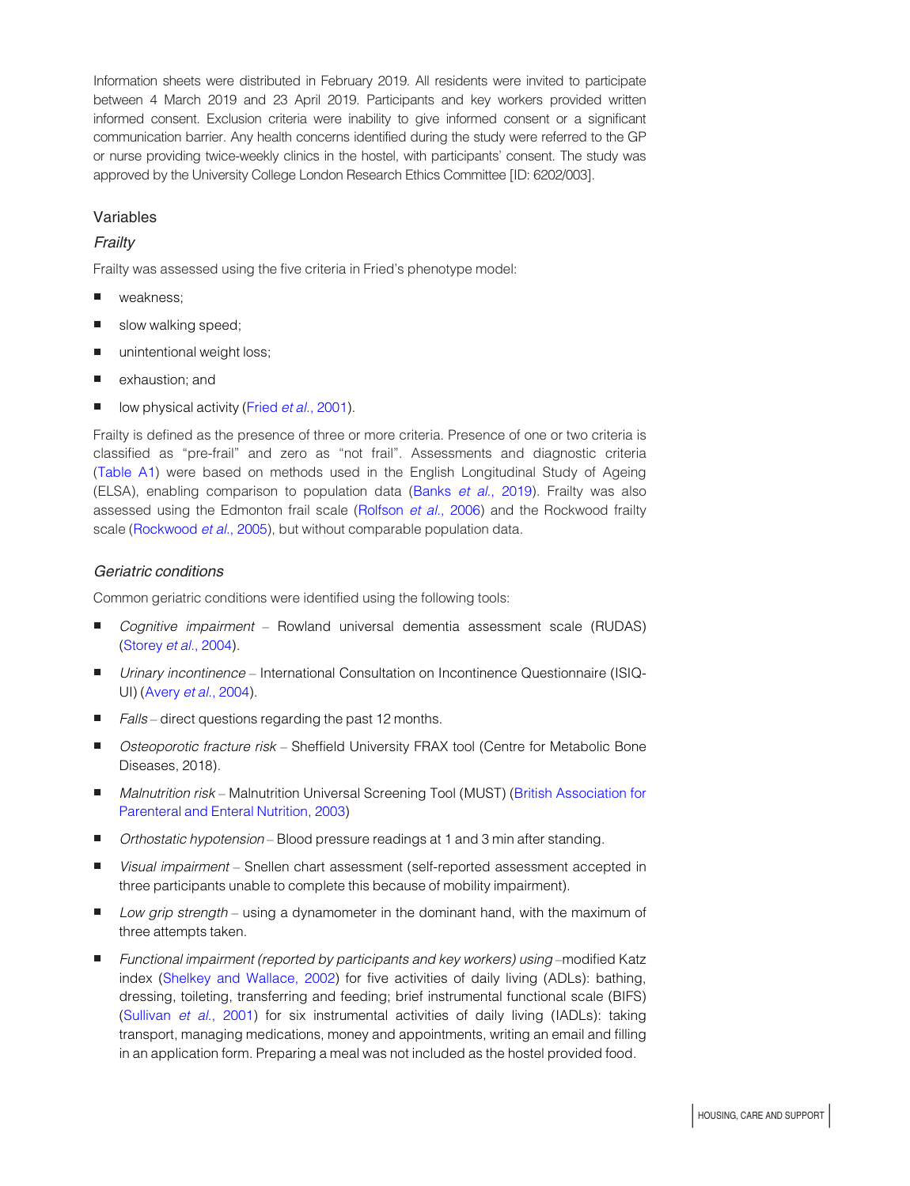Information sheets were distributed in February 2019. All residents were invited to participate between 4 March 2019 and 23 April 2019. Participants and key workers provided written informed consent. Exclusion criteria were inability to give informed consent or a significant communication barrier. Any health concerns identified during the study were referred to the GP or nurse providing twice-weekly clinics in the hostel, with participants' consent. The study was approved by the University College London Research Ethics Committee [ID: 6202/003].

## Variables

### **Frailty**

Frailty was assessed using the five criteria in Fried's phenotype model:

- weakness;
- slow walking speed;
- unintentional weight loss;
- **E** exhaustion; and
- low physical activity (Fried *et al.*[, 2001](#page-10-5)).

Frailty is defined as the presence of three or more criteria. Presence of one or two criteria is classified as "pre-frail" and zero as "not frail". Assessments and diagnostic criteria ([Table A1](#page-12-0)) were based on methods used in the English Longitudinal Study of Ageing (ELSA), enabling comparison to population data (Banks et al.[, 2019\)](#page-9-9). Frailty was also assessed using the Edmonton frail scale [\(Rolfson](#page-10-11) et al., 2006) and the Rockwood frailty scale [\(Rockwood](#page-10-12) et al., 2005), but without comparable population data.

# Geriatric conditions

Common geriatric conditions were identified using the following tools:

- Cognitive impairment Rowland universal dementia assessment scale (RUDAS) ([Storey](#page-11-5) et al., 2004).
- *Urinary incontinence* International Consultation on Incontinence Questionnaire (ISIQ-UI) (Avery *et al.*[, 2004](#page-9-10)).
- $\blacksquare$  Falls direct questions regarding the past 12 months.
- Osteoporotic fracture risk Sheffield University FRAX tool (Centre for Metabolic Bone Diseases, 2018).
- Malnutrition risk Malnutrition Universal Screening Tool (MUST) ([British Association for](#page-9-11) [Parenteral and Enteral Nutrition, 2003\)](#page-9-11)
- Orthostatic hypotension Blood pressure readings at 1 and 3 min after standing.
- Visual impairment Snellen chart assessment (self-reported assessment accepted in three participants unable to complete this because of mobility impairment).
- Low grip strength using a dynamometer in the dominant hand, with the maximum of three attempts taken.
- Functional impairment (reported by participants and key workers) using –modified Katz index ([Shelkey and Wallace, 2002](#page-11-6)) for five activities of daily living (ADLs): bathing, dressing, toileting, transferring and feeding; brief instrumental functional scale (BIFS) ([Sullivan](#page-11-7) et al., 2001) for six instrumental activities of daily living (IADLs): taking transport, managing medications, money and appointments, writing an email and filling in an application form. Preparing a meal was not included as the hostel provided food.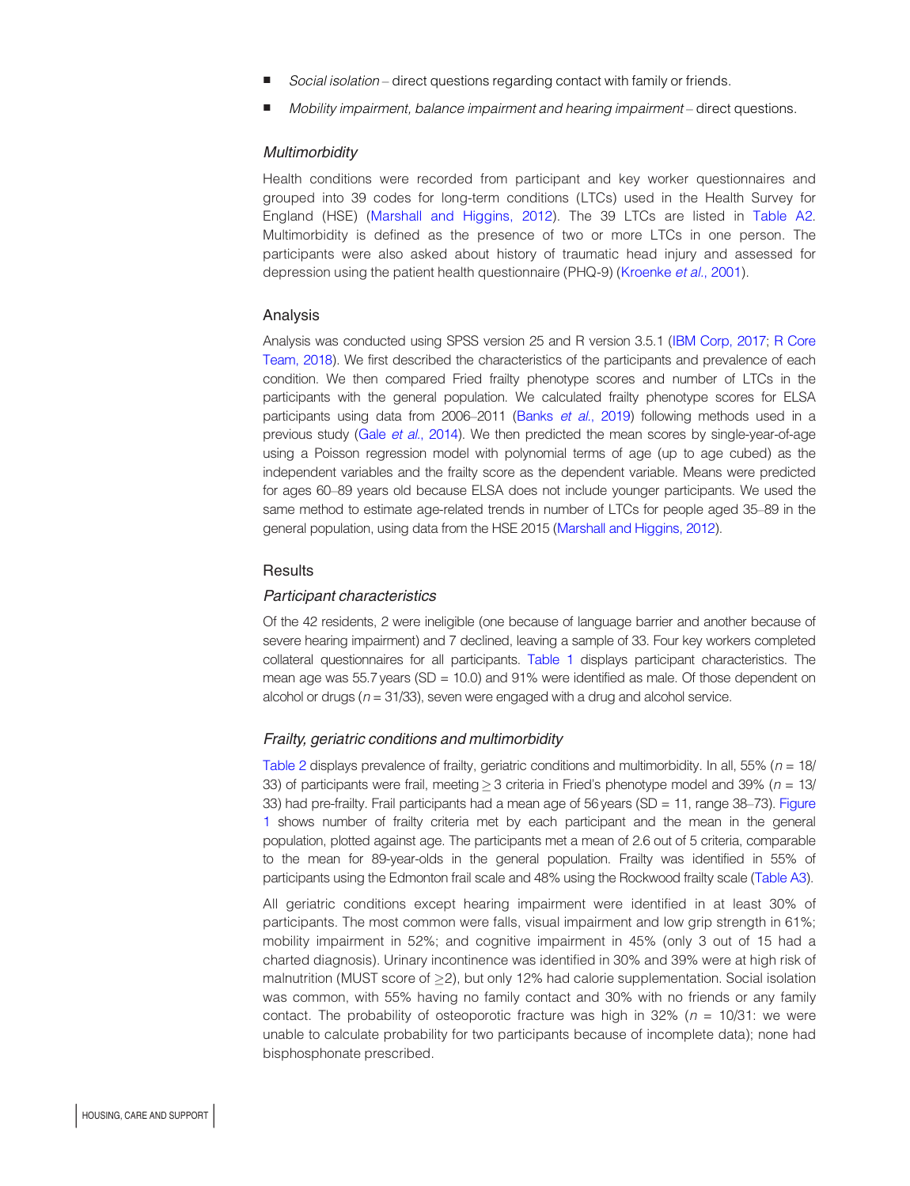- Social isolation direct questions regarding contact with family or friends.
- Mobility impairment, balance impairment and hearing impairment direct questions.

#### **Multimorbidity**

Health conditions were recorded from participant and key worker questionnaires and grouped into 39 codes for long-term conditions (LTCs) used in the Health Survey for England (HSE) ([Marshall and Higgins, 2012](#page-10-13)). The 39 LTCs are listed in [Table A2](#page-13-0). Multimorbidity is defined as the presence of two or more LTCs in one person. The participants were also asked about history of traumatic head injury and assessed for depression using the patient health questionnaire (PHQ-9) [\(Kroenke](#page-10-14) et al., 2001).

#### Analysis

Analysis was conducted using SPSS version 25 and R version 3.5.1 [\(IBM Corp, 2017](#page-10-15); [R Core](#page-10-16) [Team, 2018](#page-10-16)). We first described the characteristics of the participants and prevalence of each condition. We then compared Fried frailty phenotype scores and number of LTCs in the participants with the general population. We calculated frailty phenotype scores for ELSA participants using data from 2006–2011 (Banks et al.[, 2019](#page-9-9)) following methods used in a previous study (Gale et al.[, 2014\)](#page-10-17). We then predicted the mean scores by single-year-of-age using a Poisson regression model with polynomial terms of age (up to age cubed) as the independent variables and the frailty score as the dependent variable. Means were predicted for ages 60–89 years old because ELSA does not include younger participants. We used the same method to estimate age-related trends in number of LTCs for people aged 35–89 in the general population, using data from the HSE 2015 ([Marshall and Higgins, 2012\)](#page-10-13).

#### **Results**

#### Participant characteristics

Of the 42 residents, 2 were ineligible (one because of language barrier and another because of severe hearing impairment) and 7 declined, leaving a sample of 33. Four key workers completed collateral questionnaires for all participants. [Table 1](#page-4-0) displays participant characteristics. The mean age was  $55.7$  years (SD = 10.0) and 91% were identified as male. Of those dependent on alcohol or drugs ( $n = 31/33$ ), seven were engaged with a drug and alcohol service.

#### Frailty, geriatric conditions and multimorbidity

[Table 2](#page-5-0) displays prevalence of frailty, geriatric conditions and multimorbidity. In all, 55% ( $n = 18/$ 33) of participants were frail, meeting  $\geq$  3 criteria in Fried's phenotype model and 39% (n = 13/ 33) had pre-frailty. Frail participants had a mean age of 56 years (SD = 11, range 38–73). [Figure](#page-6-0) [1](#page-6-0) shows number of frailty criteria met by each participant and the mean in the general population, plotted against age. The participants met a mean of 2.6 out of 5 criteria, comparable to the mean for 89-year-olds in the general population. Frailty was identified in 55% of participants using the Edmonton frail scale and 48% using the Rockwood frailty scale [\(Table A3](#page-14-0)).

All geriatric conditions except hearing impairment were identified in at least 30% of participants. The most common were falls, visual impairment and low grip strength in 61%; mobility impairment in 52%; and cognitive impairment in 45% (only 3 out of 15 had a charted diagnosis). Urinary incontinence was identified in 30% and 39% were at high risk of malnutrition (MUST score of  $\geq$ 2), but only 12% had calorie supplementation. Social isolation was common, with 55% having no family contact and 30% with no friends or any family contact. The probability of osteoporotic fracture was high in 32% ( $n = 10/31$ : we were unable to calculate probability for two participants because of incomplete data); none had bisphosphonate prescribed.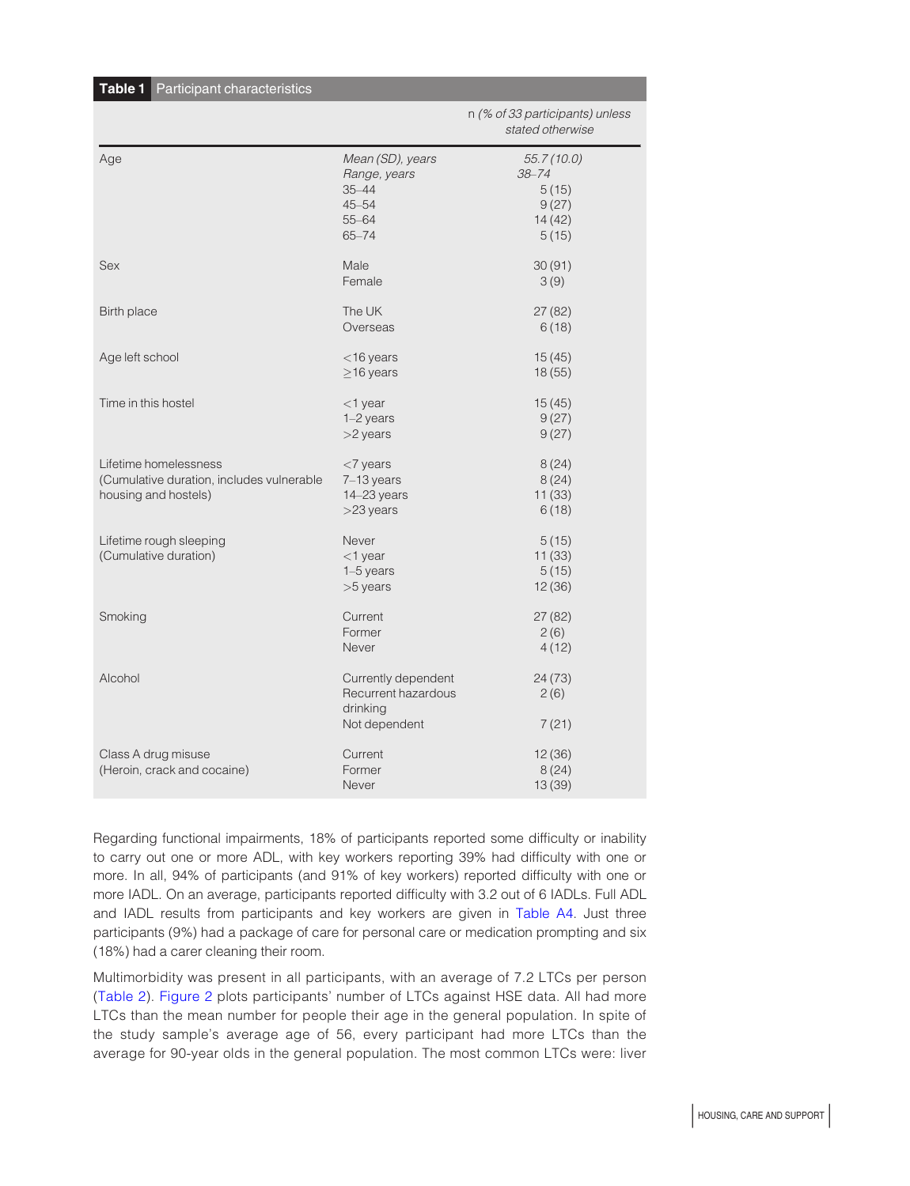<span id="page-4-0"></span>

| <b>Table 1</b> Participant characteristics                                                 |                                                                                      |                                                              |  |  |  |
|--------------------------------------------------------------------------------------------|--------------------------------------------------------------------------------------|--------------------------------------------------------------|--|--|--|
|                                                                                            |                                                                                      | n (% of 33 participants) unless<br>stated otherwise          |  |  |  |
| Age                                                                                        | Mean (SD), years<br>Range, years<br>$35 - 44$<br>$45 - 54$<br>$55 - 64$<br>$65 - 74$ | 55.7(10.0)<br>$38 - 74$<br>5(15)<br>9(27)<br>14(42)<br>5(15) |  |  |  |
| Sex                                                                                        | Male<br>Female                                                                       | 30(91)<br>3(9)                                               |  |  |  |
| Birth place                                                                                | The UK<br>Overseas                                                                   | 27(82)<br>6(18)                                              |  |  |  |
| Age left school                                                                            | $<$ 16 years<br>$>16$ years                                                          | 15(45)<br>18(55)                                             |  |  |  |
| Time in this hostel                                                                        | $<$ 1 year<br>$1-2$ years<br>$>2$ years                                              | 15(45)<br>9(27)<br>9(27)                                     |  |  |  |
| Lifetime homelessness<br>(Cumulative duration, includes vulnerable<br>housing and hostels) | $<$ 7 years<br>7-13 years<br>14-23 years<br>>23 years                                | 8(24)<br>8(24)<br>11(33)<br>6(18)                            |  |  |  |
| Lifetime rough sleeping<br>(Cumulative duration)                                           | Never<br>$<$ 1 year<br>1-5 years<br>$>5$ years                                       | 5(15)<br>11(33)<br>5(15)<br>12(36)                           |  |  |  |
| Smoking                                                                                    | Current<br>Former<br>Never                                                           | 27(82)<br>2(6)<br>4(12)                                      |  |  |  |
| Alcohol                                                                                    | Currently dependent<br>Recurrent hazardous<br>drinking<br>Not dependent              | 24(73)<br>2(6)<br>7(21)                                      |  |  |  |
| Class A drug misuse<br>(Heroin, crack and cocaine)                                         | Current<br>Former<br>Never                                                           | 12(36)<br>8(24)<br>13 (39)                                   |  |  |  |

Regarding functional impairments, 18% of participants reported some difficulty or inability to carry out one or more ADL, with key workers reporting 39% had difficulty with one or more. In all, 94% of participants (and 91% of key workers) reported difficulty with one or more IADL. On an average, participants reported difficulty with 3.2 out of 6 IADLs. Full ADL and IADL results from participants and key workers are given in [Table A4](#page-14-1). Just three participants (9%) had a package of care for personal care or medication prompting and six (18%) had a carer cleaning their room.

Multimorbidity was present in all participants, with an average of 7.2 LTCs per person ([Table 2\)](#page-5-0). [Figure 2](#page-6-1) plots participants' number of LTCs against HSE data. All had more LTCs than the mean number for people their age in the general population. In spite of the study sample's average age of 56, every participant had more LTCs than the average for 90-year olds in the general population. The most common LTCs were: liver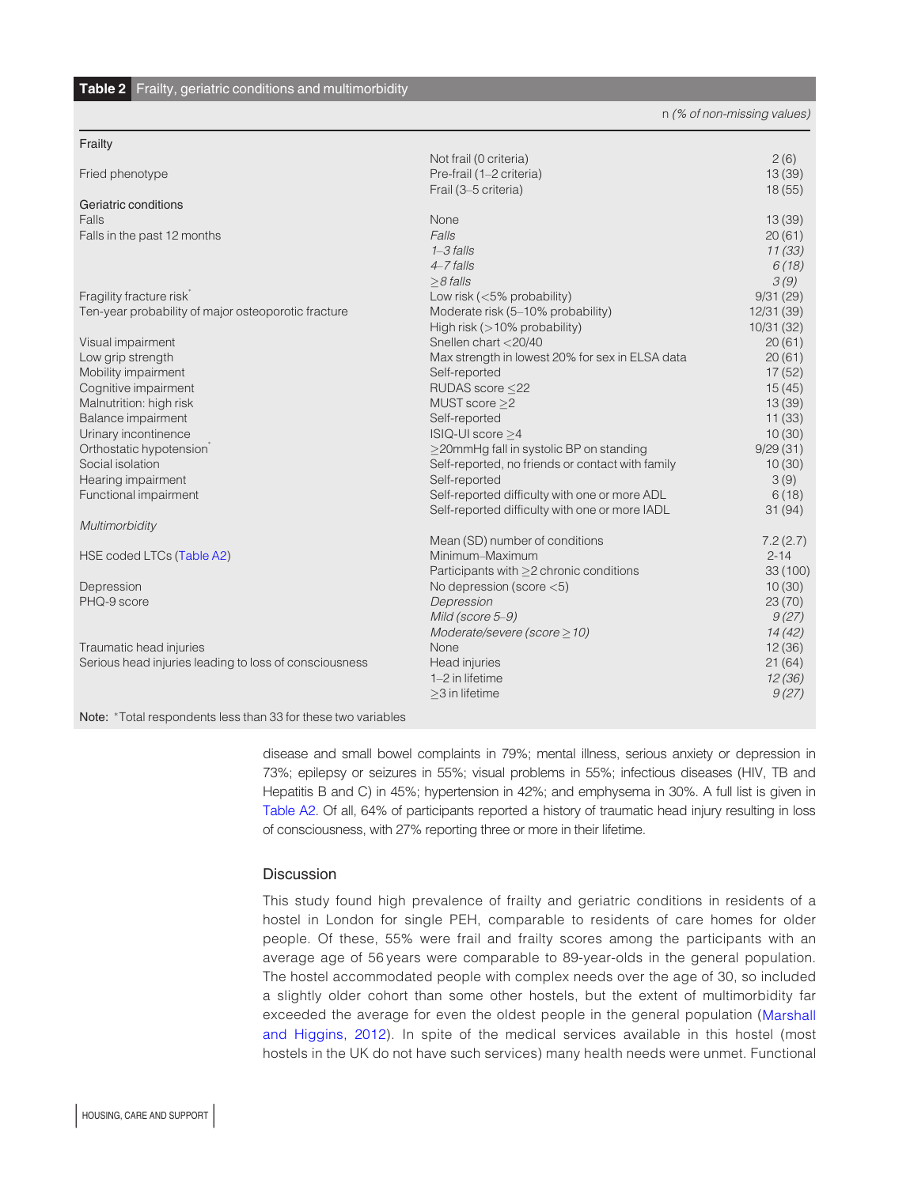<span id="page-5-0"></span>

| Frailty                                                |                                                  |           |
|--------------------------------------------------------|--------------------------------------------------|-----------|
|                                                        | Not frail (0 criteria)                           | 2(6)      |
| Fried phenotype                                        | Pre-frail (1-2 criteria)                         | 13(39)    |
|                                                        | Frail (3-5 criteria)                             | 18(55)    |
| Geriatric conditions                                   |                                                  |           |
| Falls                                                  | None                                             | 13(39)    |
| Falls in the past 12 months                            | Falls                                            | 20(61)    |
|                                                        | $1 - 3$ falls                                    | 11(33)    |
|                                                        | $4-7$ falls                                      | 6(18)     |
|                                                        | $>8$ falls                                       | 3(9)      |
| Fragility fracture risk                                | Low risk (<5% probability)                       | 9/31(29)  |
| Ten-year probability of major osteoporotic fracture    | Moderate risk (5-10% probability)                | 12/31(39) |
|                                                        | High risk ( $>10\%$ probability)                 | 10/31(32) |
| Visual impairment                                      | Snellen chart <20/40                             | 20(61)    |
| Low grip strength                                      | Max strength in lowest 20% for sex in ELSA data  | 20(61)    |
| Mobility impairment                                    | Self-reported                                    | 17(52)    |
| Cognitive impairment                                   | RUDAS score <22                                  | 15(45)    |
| Malnutrition: high risk                                | MUST score >2                                    | 13(39)    |
| <b>Balance impairment</b>                              | Self-reported                                    | 11(33)    |
| Urinary incontinence                                   | ISIQ-UI score >4                                 | 10(30)    |
| Orthostatic hypotension                                | >20mmHg fall in systolic BP on standing          | 9/29(31)  |
| Social isolation                                       | Self-reported, no friends or contact with family | 10(30)    |
| Hearing impairment                                     | Self-reported                                    | 3(9)      |
| Functional impairment                                  | Self-reported difficulty with one or more ADL    | 6(18)     |
|                                                        | Self-reported difficulty with one or more IADL   | 31(94)    |
| Multimorbidity                                         |                                                  |           |
|                                                        | Mean (SD) number of conditions                   | 7.2(2.7)  |
| HSE coded LTCs (Table A2)                              | Minimum-Maximum                                  | $2 - 14$  |
|                                                        | Participants with >2 chronic conditions          | 33 (100)  |
| Depression                                             | No depression (score <5)                         | 10(30)    |
| PHQ-9 score                                            | Depression                                       | 23(70)    |
|                                                        | Mild (score 5-9)                                 | 9(27)     |
|                                                        | Moderate/severe (score $\geq$ 10)                | 14(42)    |
| Traumatic head injuries                                | None                                             | 12(36)    |
| Serious head injuries leading to loss of consciousness | Head injuries                                    | 21(64)    |
|                                                        | 1-2 in lifetime                                  | 12(36)    |
|                                                        | >3 in lifetime                                   | 9(27)     |
|                                                        |                                                  |           |

Note: \*Total respondents less than 33 for these two variables

disease and small bowel complaints in 79%; mental illness, serious anxiety or depression in 73%; epilepsy or seizures in 55%; visual problems in 55%; infectious diseases (HIV, TB and Hepatitis B and C) in 45%; hypertension in 42%; and emphysema in 30%. A full list is given in [Table A2](#page-13-0). Of all, 64% of participants reported a history of traumatic head injury resulting in loss of consciousness, with 27% reporting three or more in their lifetime.

#### **Discussion**

This study found high prevalence of frailty and geriatric conditions in residents of a hostel in London for single PEH, comparable to residents of care homes for older people. Of these, 55% were frail and frailty scores among the participants with an average age of 56 years were comparable to 89-year-olds in the general population. The hostel accommodated people with complex needs over the age of 30, so included a slightly older cohort than some other hostels, but the extent of multimorbidity far exceeded the average for even the oldest people in the general population ([Marshall](#page-10-13) [and Higgins, 2012\)](#page-10-13). In spite of the medical services available in this hostel (most hostels in the UK do not have such services) many health needs were unmet. Functional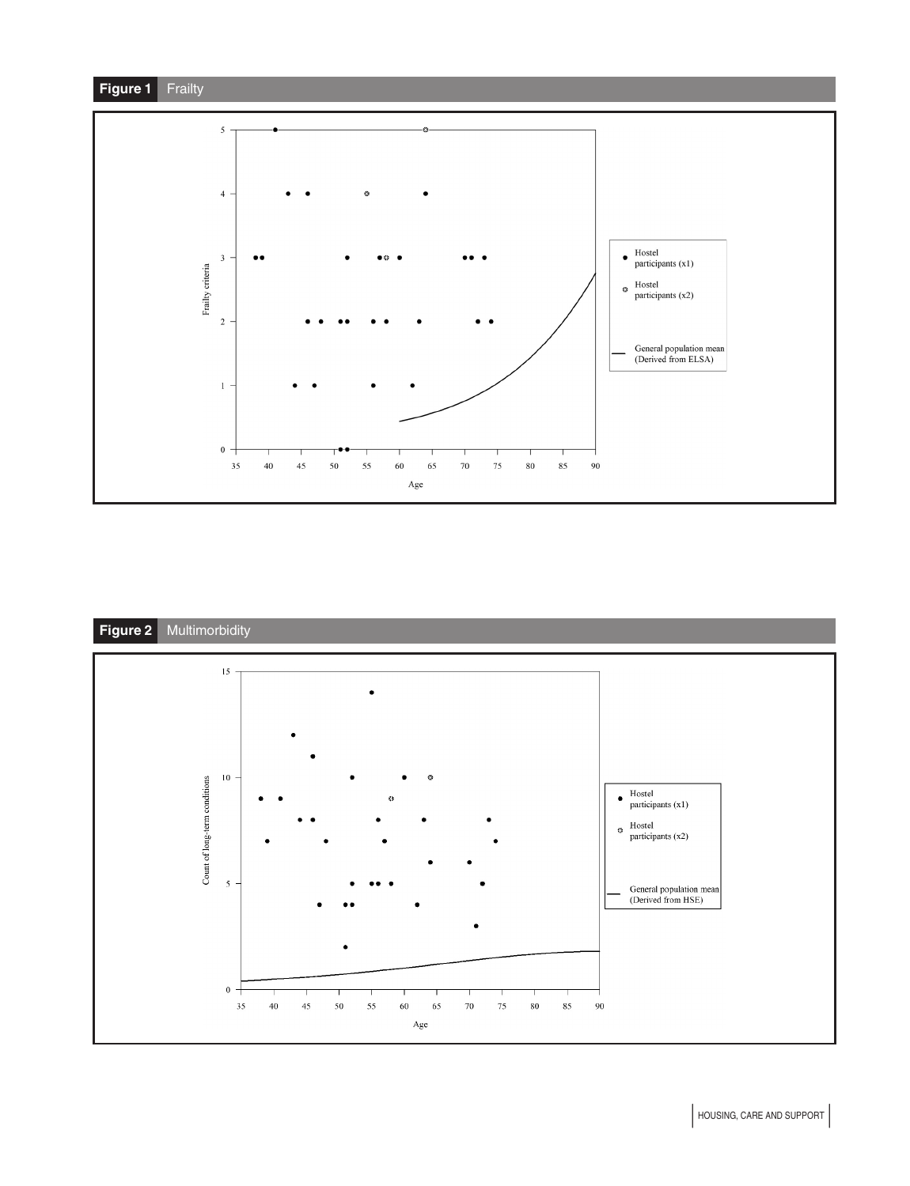<span id="page-6-0"></span>

<span id="page-6-1"></span>

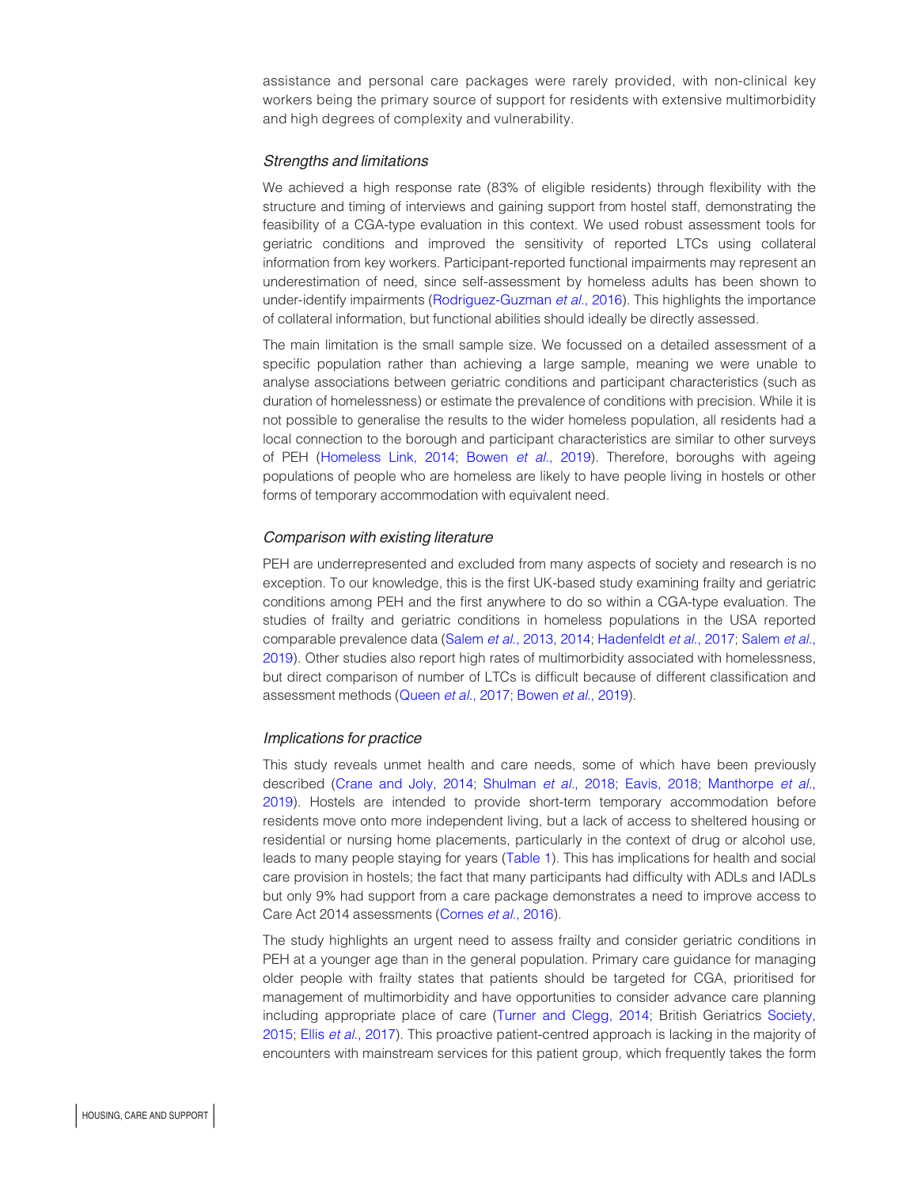assistance and personal care packages were rarely provided, with non-clinical key workers being the primary source of support for residents with extensive multimorbidity and high degrees of complexity and vulnerability.

#### Strengths and limitations

We achieved a high response rate (83% of eligible residents) through flexibility with the structure and timing of interviews and gaining support from hostel staff, demonstrating the feasibility of a CGA-type evaluation in this context. We used robust assessment tools for geriatric conditions and improved the sensitivity of reported LTCs using collateral information from key workers. Participant-reported functional impairments may represent an underestimation of need, since self-assessment by homeless adults has been shown to under-identify impairments [\(Rodriguez-Guzman](#page-10-18) et al., 2016). This highlights the importance of collateral information, but functional abilities should ideally be directly assessed.

The main limitation is the small sample size. We focussed on a detailed assessment of a specific population rather than achieving a large sample, meaning we were unable to analyse associations between geriatric conditions and participant characteristics (such as duration of homelessness) or estimate the prevalence of conditions with precision. While it is not possible to generalise the results to the wider homeless population, all residents had a local connection to the borough and participant characteristics are similar to other surveys of PEH ([Homeless Link, 2014;](#page-10-19) Bowen et al.[, 2019\)](#page-9-0). Therefore, boroughs with ageing populations of people who are homeless are likely to have people living in hostels or other forms of temporary accommodation with equivalent need.

#### Comparison with existing literature

PEH are underrepresented and excluded from many aspects of society and research is no exception. To our knowledge, this is the first UK-based study examining frailty and geriatric conditions among PEH and the first anywhere to do so within a CGA-type evaluation. The studies of frailty and geriatric conditions in homeless populations in the USA reported comparable prevalence data ([Salem](#page-11-0) et al., 2013, [2014](#page-11-1); [Hadenfeldt](#page-10-6) et al., 2017; [Salem](#page-11-2) et al., [2019\)](#page-11-2). Other studies also report high rates of multimorbidity associated with homelessness, but direct comparison of number of LTCs is difficult because of different classification and assessment methods [\(Queen](#page-10-1) et al., 2017; [Bowen](#page-9-0) et al., 2019).

#### Implications for practice

This study reveals unmet health and care needs, some of which have been previously described ([Crane and Joly, 2014;](#page-9-6) [Shulman](#page-11-3) et al., 2018; [Eavis, 2018;](#page-9-8) [Manthorpe](#page-10-8) et al., [2019\)](#page-10-8). Hostels are intended to provide short-term temporary accommodation before residents move onto more independent living, but a lack of access to sheltered housing or residential or nursing home placements, particularly in the context of drug or alcohol use, leads to many people staying for years [\(Table 1\)](#page-4-0). This has implications for health and social care provision in hostels; the fact that many participants had difficulty with ADLs and IADLs but only 9% had support from a care package demonstrates a need to improve access to Care Act 2014 assessments ([Cornes](#page-9-12) et al., 2016).

The study highlights an urgent need to assess frailty and consider geriatric conditions in PEH at a younger age than in the general population. Primary care guidance for managing older people with frailty states that patients should be targeted for CGA, prioritised for management of multimorbidity and have opportunities to consider advance care planning including appropriate place of care [\(Turner and Clegg, 2014;](#page-11-4) British Geriatrics [Society,](#page-9-3) [2015;](#page-9-3) Ellis et al.[, 2017\)](#page-10-10). This proactive patient-centred approach is lacking in the majority of encounters with mainstream services for this patient group, which frequently takes the form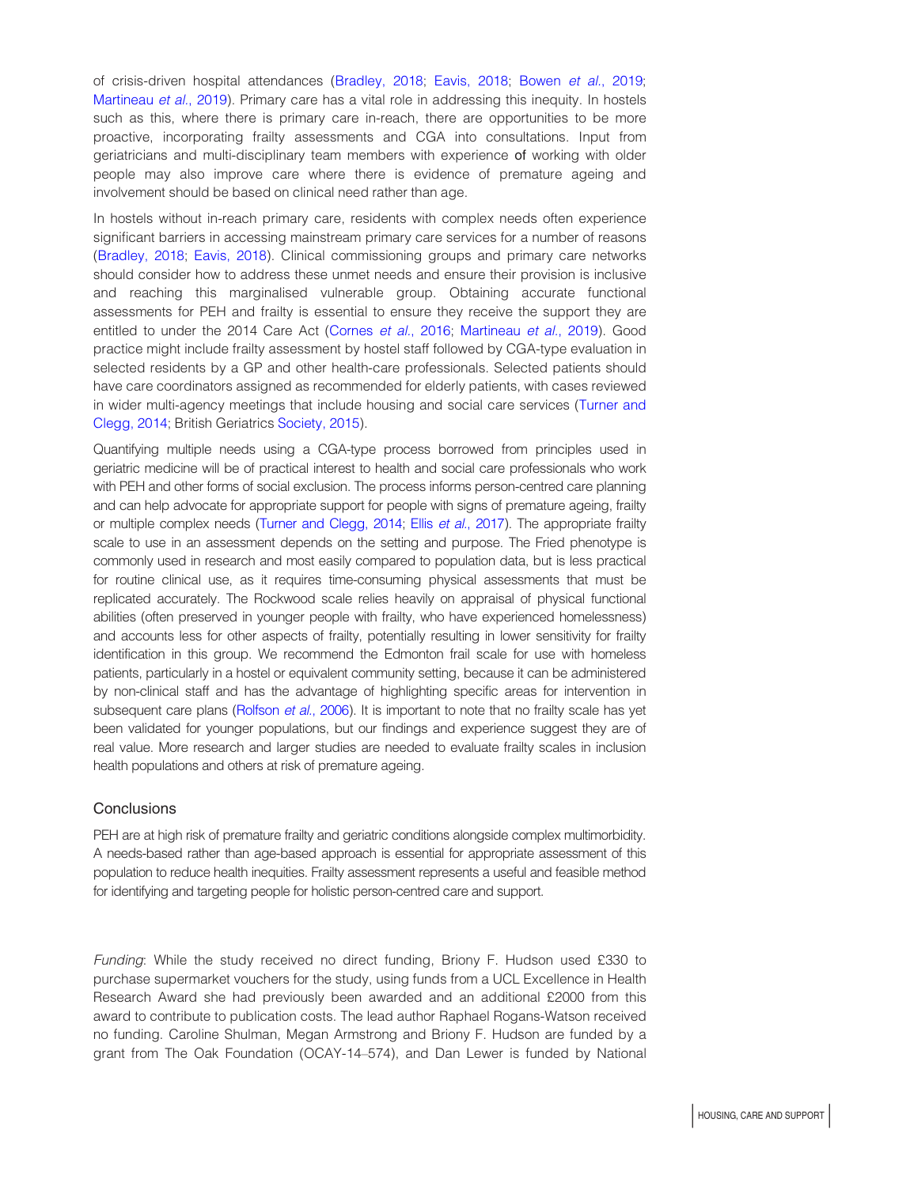of crisis-driven hospital attendances [\(Bradley, 2018;](#page-9-7) [Eavis, 2018;](#page-9-8) [Bowen](#page-9-0) et al., 2019; [Martineau](#page-10-9) et al., 2019). Primary care has a vital role in addressing this inequity. In hostels such as this, where there is primary care in-reach, there are opportunities to be more proactive, incorporating frailty assessments and CGA into consultations. Input from geriatricians and multi-disciplinary team members with experience of working with older people may also improve care where there is evidence of premature ageing and involvement should be based on clinical need rather than age.

In hostels without in-reach primary care, residents with complex needs often experience significant barriers in accessing mainstream primary care services for a number of reasons ([Bradley, 2018;](#page-9-7) [Eavis, 2018](#page-9-8)). Clinical commissioning groups and primary care networks should consider how to address these unmet needs and ensure their provision is inclusive and reaching this marginalised vulnerable group. Obtaining accurate functional assessments for PEH and frailty is essential to ensure they receive the support they are entitled to under the 2014 Care Act ([Cornes](#page-9-12) et al., 2016; [Martineau](#page-10-9) et al., 2019). Good practice might include frailty assessment by hostel staff followed by CGA-type evaluation in selected residents by a GP and other health-care professionals. Selected patients should have care coordinators assigned as recommended for elderly patients, with cases reviewed in wider multi-agency meetings that include housing and social care services ([Turner and](#page-11-4) [Clegg, 2014;](#page-11-4) British Geriatrics [Society, 2015](#page-9-3)).

Quantifying multiple needs using a CGA-type process borrowed from principles used in geriatric medicine will be of practical interest to health and social care professionals who work with PEH and other forms of social exclusion. The process informs person-centred care planning and can help advocate for appropriate support for people with signs of premature ageing, frailty or multiple complex needs [\(Turner and Clegg, 2014](#page-11-4); Ellis et al.[, 2017](#page-10-10)). The appropriate frailty scale to use in an assessment depends on the setting and purpose. The Fried phenotype is commonly used in research and most easily compared to population data, but is less practical for routine clinical use, as it requires time-consuming physical assessments that must be replicated accurately. The Rockwood scale relies heavily on appraisal of physical functional abilities (often preserved in younger people with frailty, who have experienced homelessness) and accounts less for other aspects of frailty, potentially resulting in lower sensitivity for frailty identification in this group. We recommend the Edmonton frail scale for use with homeless patients, particularly in a hostel or equivalent community setting, because it can be administered by non-clinical staff and has the advantage of highlighting specific areas for intervention in subsequent care plans [\(Rolfson](#page-10-11) et al., 2006). It is important to note that no frailty scale has yet been validated for younger populations, but our findings and experience suggest they are of real value. More research and larger studies are needed to evaluate frailty scales in inclusion health populations and others at risk of premature ageing.

# **Conclusions**

PEH are at high risk of premature frailty and geriatric conditions alongside complex multimorbidity. A needs-based rather than age-based approach is essential for appropriate assessment of this population to reduce health inequities. Frailty assessment represents a useful and feasible method for identifying and targeting people for holistic person-centred care and support.

Funding: While the study received no direct funding, Briony F. Hudson used £330 to purchase supermarket vouchers for the study, using funds from a UCL Excellence in Health Research Award she had previously been awarded and an additional £2000 from this award to contribute to publication costs. The lead author Raphael Rogans-Watson received no funding. Caroline Shulman, Megan Armstrong and Briony F. Hudson are funded by a grant from The Oak Foundation (OCAY-14–574), and Dan Lewer is funded by National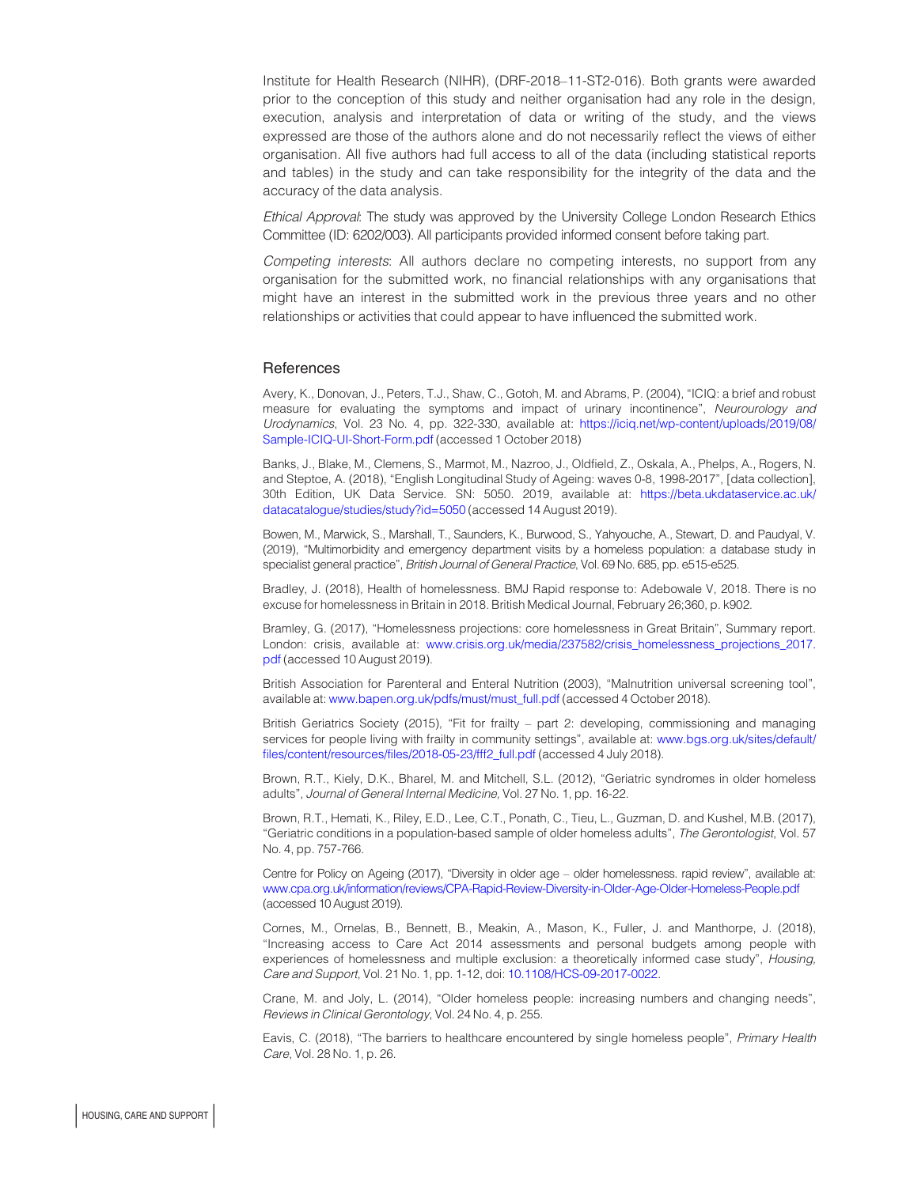Institute for Health Research (NIHR), (DRF-2018–11-ST2-016). Both grants were awarded prior to the conception of this study and neither organisation had any role in the design, execution, analysis and interpretation of data or writing of the study, and the views expressed are those of the authors alone and do not necessarily reflect the views of either organisation. All five authors had full access to all of the data (including statistical reports and tables) in the study and can take responsibility for the integrity of the data and the accuracy of the data analysis.

Ethical Approval: The study was approved by the University College London Research Ethics Committee (ID: 6202/003). All participants provided informed consent before taking part.

Competing interests: All authors declare no competing interests, no support from any organisation for the submitted work, no financial relationships with any organisations that might have an interest in the submitted work in the previous three years and no other relationships or activities that could appear to have influenced the submitted work.

#### **References**

<span id="page-9-10"></span>Avery, K., Donovan, J., Peters, T.J., Shaw, C., Gotoh, M. and Abrams, P. (2004), "ICIQ: a brief and robust measure for evaluating the symptoms and impact of urinary incontinence", Neurourology and Urodynamics, Vol. 23 No. 4, pp. 322-330, available at: [https://iciq.net/wp-content/uploads/2019/08/](https://iciq.net/wp-content/uploads/2019/08/Sample-ICIQ-UI-Short-Form.pdf) [Sample-ICIQ-UI-Short-Form.pdf](https://iciq.net/wp-content/uploads/2019/08/Sample-ICIQ-UI-Short-Form.pdf) (accessed 1 October 2018)

<span id="page-9-9"></span>Banks, J., Blake, M., Clemens, S., Marmot, M., Nazroo, J., Oldfield, Z., Oskala, A., Phelps, A., Rogers, N. and Steptoe, A. (2018), "English Longitudinal Study of Ageing: waves 0-8, 1998-2017", [data collection], 30th Edition, UK Data Service. SN: 5050. 2019, available at: https://beta.ukdataservice.ac.uk/ datacatalogue/studies/study?id=5050 (accessed 14 August 2019).

<span id="page-9-0"></span>Bowen, M., Marwick, S., Marshall, T., Saunders, K., Burwood, S., Yahyouche, A., Stewart, D. and Paudyal, V. (2019), "Multimorbidity and emergency department visits by a homeless population: a database study in specialist general practice", British Journal of General Practice, Vol. 69 No. 685, pp. e515-e525.

<span id="page-9-7"></span>Bradley, J. (2018), Health of homelessness. BMJ Rapid response to: Adebowale V, 2018. There is no excuse for homelessness in Britain in 2018. British Medical Journal, February 26;360, p. k902.

<span id="page-9-1"></span>Bramley, G. (2017), "Homelessness projections: core homelessness in Great Britain", Summary report. London: crisis, available at: [www.crisis.org.uk/media/237582/crisis\\_homelessness\\_projections\\_2017.](http://www.crisis.org.uk/media/237582/crisis_homelessness_projections_2017.pdf) [pdf](http://www.crisis.org.uk/media/237582/crisis_homelessness_projections_2017.pdf) (accessed 10 August 2019).

<span id="page-9-11"></span>British Association for Parenteral and Enteral Nutrition (2003), "Malnutrition universal screening tool", available at: [www.bapen.org.uk/pdfs/must/must\\_full.pdf](http://www.bapen.org.uk/pdfs/must/must_full.pdf) (accessed 4 October 2018).

<span id="page-9-3"></span>British Geriatrics Society (2015), "Fit for frailty – part 2: developing, commissioning and managing services for people living with frailty in community settings", available at: [www.bgs.org.uk/sites/default/](http://www.bgs.org.uk/sites/default/files/content/resources/files/2018-05-23/fff2_full.pdf) [files/content/resources/files/2018-05-23/fff2\\_full.pdf](http://www.bgs.org.uk/sites/default/files/content/resources/files/2018-05-23/fff2_full.pdf) (accessed 4 July 2018).

<span id="page-9-4"></span>Brown, R.T., Kiely, D.K., Bharel, M. and Mitchell, S.L. (2012), "Geriatric syndromes in older homeless adults", Journal of General Internal Medicine, Vol. 27 No. 1, pp. 16-22.

<span id="page-9-5"></span>Brown, R.T., Hemati, K., Riley, E.D., Lee, C.T., Ponath, C., Tieu, L., Guzman, D. and Kushel, M.B. (2017), "Geriatric conditions in a population-based sample of older homeless adults", The Gerontologist, Vol. 57 No. 4, pp. 757-766.

<span id="page-9-2"></span>Centre for Policy on Ageing (2017), "Diversity in older age – older homelessness. rapid review", available at: [www.cpa.org.uk/information/reviews/CPA-Rapid-Review-Diversity-in-Older-Age-Older-Homeless-People.pdf](http://www.cpa.org.uk/information/reviews/CPA-Rapid-Review-Diversity-in-Older-Age-Older-Homeless-People.pdf) (accessed 10 August 2019).

<span id="page-9-12"></span>Cornes, M., Ornelas, B., Bennett, B., Meakin, A., Mason, K., Fuller, J. and Manthorpe, J. (2018), "Increasing access to Care Act 2014 assessments and personal budgets among people with experiences of homelessness and multiple exclusion: a theoretically informed case study", Housing, Care and Support, Vol. 21 No. 1, pp. 1-12, doi: [10.1108/HCS-09-2017-0022](http://dx.doi.org/10.1108/HCS-09-2017-0022).

<span id="page-9-6"></span>Crane, M. and Joly, L. (2014), "Older homeless people: increasing numbers and changing needs", Reviews in Clinical Gerontology, Vol. 24 No. 4, p. 255.

<span id="page-9-8"></span>Eavis, C. (2018), "The barriers to healthcare encountered by single homeless people", Primary Health Care, Vol. 28 No. 1, p. 26.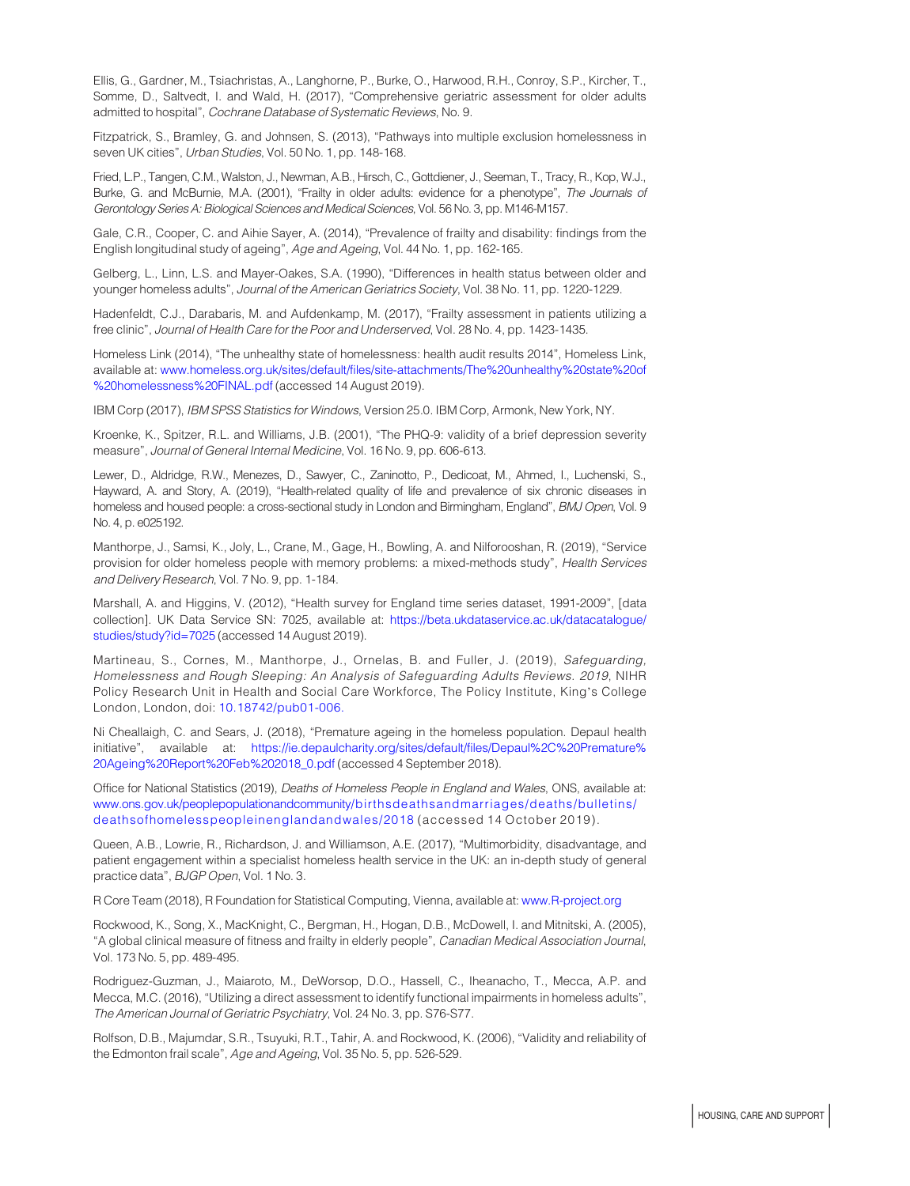<span id="page-10-10"></span>Ellis, G., Gardner, M., Tsiachristas, A., Langhorne, P., Burke, O., Harwood, R.H., Conroy, S.P., Kircher, T., Somme, D., Saltvedt, I. and Wald, H. (2017), "Comprehensive geriatric assessment for older adults admitted to hospital", Cochrane Database of Systematic Reviews, No. 9.

<span id="page-10-0"></span>Fitzpatrick, S., Bramley, G. and Johnsen, S. (2013), "Pathways into multiple exclusion homelessness in seven UK cities", Urban Studies, Vol. 50 No. 1, pp. 148-168.

<span id="page-10-5"></span>Fried, L.P., Tangen, C.M., Walston, J., Newman, A.B., Hirsch, C., Gottdiener, J., Seeman, T., Tracy, R., Kop, W.J., Burke, G. and McBurnie, M.A. (2001), "Frailty in older adults: evidence for a phenotype", The Journals of Gerontology Series A: Biological Sciences and Medical Sciences, Vol. 56 No. 3, pp. M146-M157.

<span id="page-10-17"></span>Gale, C.R., Cooper, C. and Aihie Sayer, A. (2014), "Prevalence of frailty and disability: findings from the English longitudinal study of ageing", Age and Ageing, Vol. 44 No. 1, pp. 162-165.

<span id="page-10-4"></span>Gelberg, L., Linn, L.S. and Mayer-Oakes, S.A. (1990), "Differences in health status between older and younger homeless adults", Journal of the American Geriatrics Society, Vol. 38 No. 11, pp. 1220-1229.

<span id="page-10-6"></span>Hadenfeldt, C.J., Darabaris, M. and Aufdenkamp, M. (2017), "Frailty assessment in patients utilizing a free clinic", Journal of Health Care for the Poor and Underserved, Vol. 28 No. 4, pp. 1423-1435.

<span id="page-10-19"></span>Homeless Link (2014), "The unhealthy state of homelessness: health audit results 2014", Homeless Link, available at: [www.homeless.org.uk/sites/default/files/site-attachments/The%20unhealthy%20state%20of](http://www.homeless.org.uk/sites/default/files/site-attachments/The&hx0025;20unhealthy&hx0025;20state&hx0025;20of&hx0025;20homelessness&hx0025;20FINAL.pdf) [%20homelessness%20FINAL.pdf](http://www.homeless.org.uk/sites/default/files/site-attachments/The&hx0025;20unhealthy&hx0025;20state&hx0025;20of&hx0025;20homelessness&hx0025;20FINAL.pdf) (accessed 14 August 2019).

<span id="page-10-15"></span>IBM Corp (2017), IBM SPSS Statistics for Windows, Version 25.0. IBM Corp, Armonk, New York, NY.

<span id="page-10-14"></span>Kroenke, K., Spitzer, R.L. and Williams, J.B. (2001), "The PHQ-9: validity of a brief depression severity measure", Journal of General Internal Medicine, Vol. 16 No. 9, pp. 606-613.

<span id="page-10-2"></span>Lewer, D., Aldridge, R.W., Menezes, D., Sawyer, C., Zaninotto, P., Dedicoat, M., Ahmed, I., Luchenski, S., Hayward, A. and Story, A. (2019), "Health-related quality of life and prevalence of six chronic diseases in homeless and housed people: a cross-sectional study in London and Birmingham, England", BMJ Open, Vol. 9 No. 4, p. e025192.

<span id="page-10-8"></span>Manthorpe, J., Samsi, K., Joly, L., Crane, M., Gage, H., Bowling, A. and Nilforooshan, R. (2019), "Service provision for older homeless people with memory problems: a mixed-methods study", Health Services and Delivery Research, Vol. 7 No. 9, pp. 1-184.

<span id="page-10-13"></span>Marshall, A. and Higgins, V. (2012), "Health survey for England time series dataset, 1991-2009", [data collection]. UK Data Service SN: 7025, available at: [https://beta.ukdataservice.ac.uk/datacatalogue/](https://beta.ukdataservice.ac.uk/datacatalogue/studies/study?id=7025) [studies/study?id=7025](https://beta.ukdataservice.ac.uk/datacatalogue/studies/study?id=7025) (accessed 14 August 2019).

<span id="page-10-9"></span>Martineau, S., Cornes, M., Manthorpe, J., Ornelas, B. and Fuller, J. (2019), Safeguarding, Homelessness and Rough Sleeping: An Analysis of Safeguarding Adults Reviews. 2019, NIHR Policy Research Unit in Health and Social Care Workforce, The Policy Institute, King's College London, London, doi: [10.18742/pub01-006.](http://dx.doi.org/10.18742/pub01-006.)

<span id="page-10-7"></span>Ni Cheallaigh, C. and Sears, J. (2018), "Premature ageing in the homeless population. Depaul health initiative", available at: [https://ie.depaulcharity.org/sites/default/files/Depaul%2C%20Premature%](https://ie.depaulcharity.org/sites/default/files/Depaul&hx0025;2C&hx0025;20Premature&hx0025;20Ageing&hx0025;20Report&hx0025;20Feb&hx0025;202018_0.pdf) [20Ageing%20Report%20Feb%202018\\_0.pdf](https://ie.depaulcharity.org/sites/default/files/Depaul&hx0025;2C&hx0025;20Premature&hx0025;20Ageing&hx0025;20Report&hx0025;20Feb&hx0025;202018_0.pdf) (accessed 4 September 2018).

<span id="page-10-3"></span>Office for National Statistics (2019), Deaths of Homeless People in England and Wales, ONS, available at: www.ons.gov.uk/peoplepopulationandcommunity/birthsdeathsandmarriages/deaths/bulletins/ [deathsofhomelesspeopleinenglandandwales/2018](http://www.ons.gov.uk/peoplepopulationandcommunity/birthsdeathsandmarriages/deaths/bulletins/deathsofhomelesspeopleinenglandandwales/2018) (accessed 14 October 2019).

<span id="page-10-1"></span>Queen, A.B., Lowrie, R., Richardson, J. and Williamson, A.E. (2017), "Multimorbidity, disadvantage, and patient engagement within a specialist homeless health service in the UK: an in-depth study of general practice data", BJGP Open, Vol. 1 No. 3.

<span id="page-10-16"></span>R Core Team (2018), R Foundation for Statistical Computing, Vienna, available at: [www.R-project.org](http://www.R-project.org)

<span id="page-10-12"></span>Rockwood, K., Song, X., MacKnight, C., Bergman, H., Hogan, D.B., McDowell, I. and Mitnitski, A. (2005), "A global clinical measure of fitness and frailty in elderly people", Canadian Medical Association Journal, Vol. 173 No. 5, pp. 489-495.

<span id="page-10-18"></span>Rodriguez-Guzman, J., Maiaroto, M., DeWorsop, D.O., Hassell, C., Iheanacho, T., Mecca, A.P. and Mecca, M.C. (2016), "Utilizing a direct assessment to identify functional impairments in homeless adults", The American Journal of Geriatric Psychiatry, Vol. 24 No. 3, pp. S76-S77.

<span id="page-10-11"></span>Rolfson, D.B., Majumdar, S.R., Tsuyuki, R.T., Tahir, A. and Rockwood, K. (2006), "Validity and reliability of the Edmonton frail scale", Age and Ageing, Vol. 35 No. 5, pp. 526-529.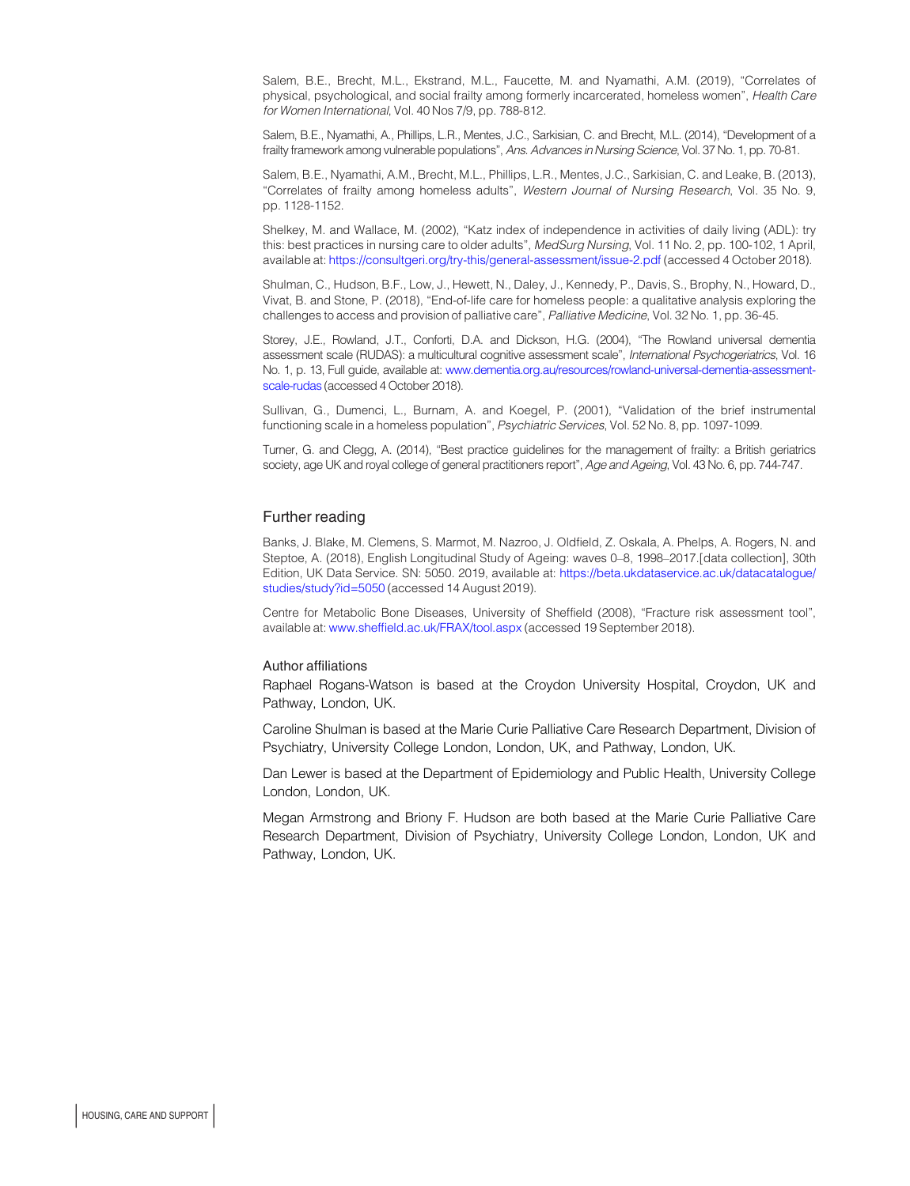<span id="page-11-2"></span>Salem, B.E., Brecht, M.L., Ekstrand, M.L., Faucette, M. and Nyamathi, A.M. (2019), "Correlates of physical, psychological, and social frailty among formerly incarcerated, homeless women", Health Care for Women International, Vol. 40 Nos 7/9, pp. 788-812.

<span id="page-11-1"></span>Salem, B.E., Nyamathi, A., Phillips, L.R., Mentes, J.C., Sarkisian, C. and Brecht, M.L. (2014), "Development of a frailty framework among vulnerable populations", Ans. Advances in Nursing Science, Vol. 37 No. 1, pp. 70-81.

<span id="page-11-0"></span>Salem, B.E., Nyamathi, A.M., Brecht, M.L., Phillips, L.R., Mentes, J.C., Sarkisian, C. and Leake, B. (2013), "Correlates of frailty among homeless adults", Western Journal of Nursing Research, Vol. 35 No. 9, pp. 1128-1152.

<span id="page-11-6"></span>Shelkey, M. and Wallace, M. (2002), "Katz index of independence in activities of daily living (ADL): try this: best practices in nursing care to older adults", MedSurg Nursing, Vol. 11 No. 2, pp. 100-102, 1 April, available at: <https://consultgeri.org/try-this/general-assessment/issue-2.pdf> (accessed 4 October 2018).

<span id="page-11-3"></span>Shulman, C., Hudson, B.F., Low, J., Hewett, N., Daley, J., Kennedy, P., Davis, S., Brophy, N., Howard, D., Vivat, B. and Stone, P. (2018), "End-of-life care for homeless people: a qualitative analysis exploring the challenges to access and provision of palliative care", Palliative Medicine, Vol. 32 No. 1, pp. 36-45.

<span id="page-11-5"></span>Storey, J.E., Rowland, J.T., Conforti, D.A. and Dickson, H.G. (2004), "The Rowland universal dementia assessment scale (RUDAS): a multicultural cognitive assessment scale", International Psychogeriatrics, Vol. 16 No. 1, p. 13, Full guide, available at: [www.dementia.org.au/resources/rowland-universal-dementia-assessment](http://www.dementia.org.au/resources/rowland-universal-dementia-assessment-scale-rudas)[scale-rudas](http://www.dementia.org.au/resources/rowland-universal-dementia-assessment-scale-rudas) (accessed 4 October 2018).

<span id="page-11-7"></span>Sullivan, G., Dumenci, L., Burnam, A. and Koegel, P. (2001), "Validation of the brief instrumental functioning scale in a homeless population", Psychiatric Services, Vol. 52 No. 8, pp. 1097-1099.

<span id="page-11-4"></span>Turner, G. and Clegg, A. (2014), "Best practice guidelines for the management of frailty: a British geriatrics society, age UK and royal college of general practitioners report", Age and Ageing, Vol. 43 No. 6, pp. 744-747.

#### Further reading

Banks, J. Blake, M. Clemens, S. Marmot, M. Nazroo, J. Oldfield, Z. Oskala, A. Phelps, A. Rogers, N. and Steptoe, A. (2018), English Longitudinal Study of Ageing: waves 0–8, 1998–2017.[data collection], 30th Edition, UK Data Service. SN: 5050. 2019, available at: [https://beta.ukdataservice.ac.uk/datacatalogue/](https://beta.ukdataservice.ac.uk/datacatalogue/studies/study?id=5050) [studies/study?id=5050](https://beta.ukdataservice.ac.uk/datacatalogue/studies/study?id=5050) (accessed 14 August 2019).

Centre for Metabolic Bone Diseases, University of Sheffield (2008), "Fracture risk assessment tool", available at: [www.sheffield.ac.uk/FRAX/tool.aspx](http://www.sheffield.ac.uk/FRAX/tool.aspx) (accessed 19 September 2018).

#### Author affiliations

Raphael Rogans-Watson is based at the Croydon University Hospital, Croydon, UK and Pathway, London, UK.

Caroline Shulman is based at the Marie Curie Palliative Care Research Department, Division of Psychiatry, University College London, London, UK, and Pathway, London, UK.

Dan Lewer is based at the Department of Epidemiology and Public Health, University College London, London, UK.

Megan Armstrong and Briony F. Hudson are both based at the Marie Curie Palliative Care Research Department, Division of Psychiatry, University College London, London, UK and Pathway, London, UK.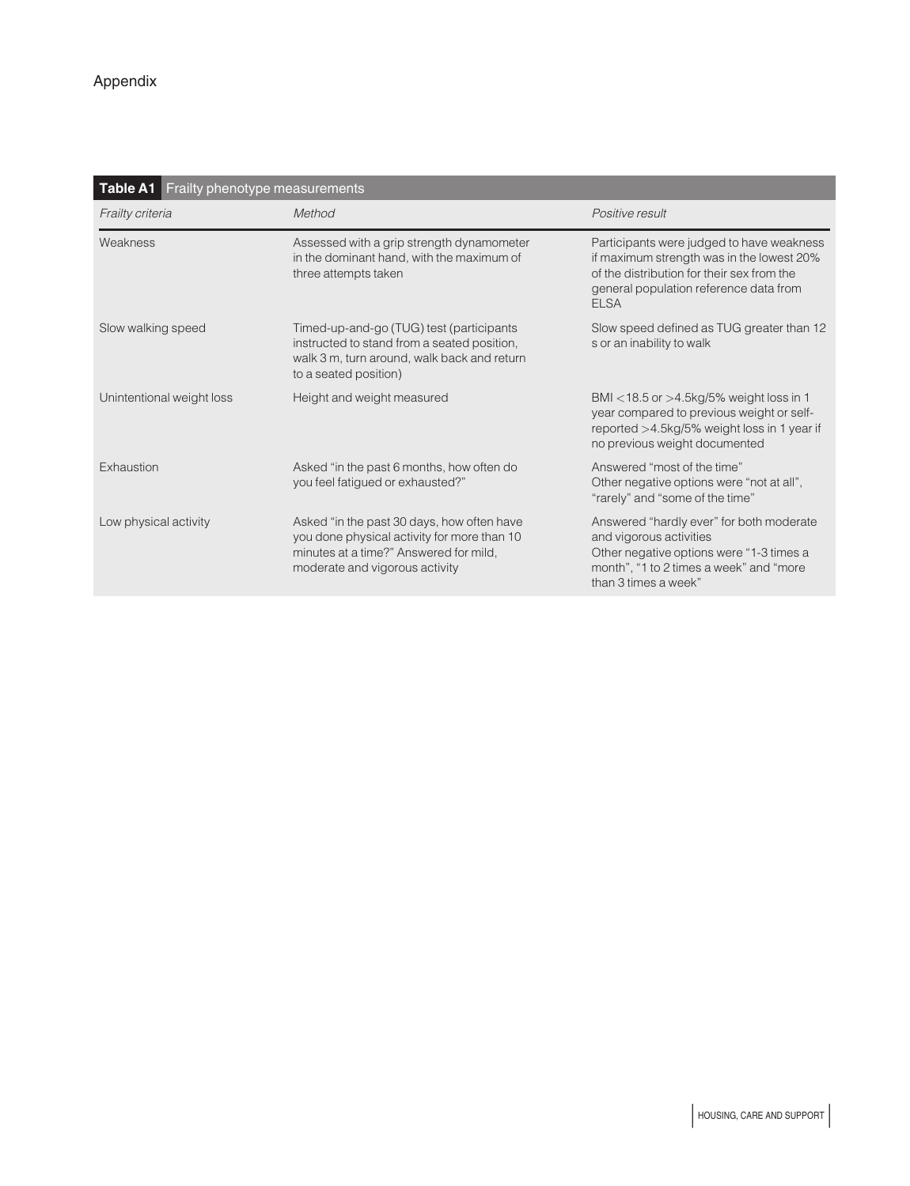<span id="page-12-0"></span>

| <b>Table A1</b> Frailty phenotype measurements |                                                                                                                                                                       |                                                                                                                                                                                               |  |  |  |
|------------------------------------------------|-----------------------------------------------------------------------------------------------------------------------------------------------------------------------|-----------------------------------------------------------------------------------------------------------------------------------------------------------------------------------------------|--|--|--|
| Frailty criteria                               | Method                                                                                                                                                                | Positive result                                                                                                                                                                               |  |  |  |
| Weakness                                       | Assessed with a grip strength dynamometer<br>in the dominant hand, with the maximum of<br>three attempts taken                                                        | Participants were judged to have weakness<br>if maximum strength was in the lowest 20%<br>of the distribution for their sex from the<br>general population reference data from<br><b>ELSA</b> |  |  |  |
| Slow walking speed                             | Timed-up-and-go (TUG) test (participants<br>instructed to stand from a seated position,<br>walk 3 m, turn around, walk back and return<br>to a seated position)       | Slow speed defined as TUG greater than 12<br>s or an inability to walk                                                                                                                        |  |  |  |
| Unintentional weight loss                      | Height and weight measured                                                                                                                                            | BMI <18.5 or >4.5kg/5% weight loss in 1<br>year compared to previous weight or self-<br>reported > 4.5kg/5% weight loss in 1 year if<br>no previous weight documented                         |  |  |  |
| Exhaustion                                     | Asked "in the past 6 months, how often do<br>you feel fatigued or exhausted?"                                                                                         | Answered "most of the time"<br>Other negative options were "not at all",<br>"rarely" and "some of the time"                                                                                   |  |  |  |
| Low physical activity                          | Asked "in the past 30 days, how often have<br>you done physical activity for more than 10<br>minutes at a time?" Answered for mild,<br>moderate and vigorous activity | Answered "hardly ever" for both moderate<br>and vigorous activities<br>Other negative options were "1-3 times a<br>month", "1 to 2 times a week" and "more<br>than 3 times a week"            |  |  |  |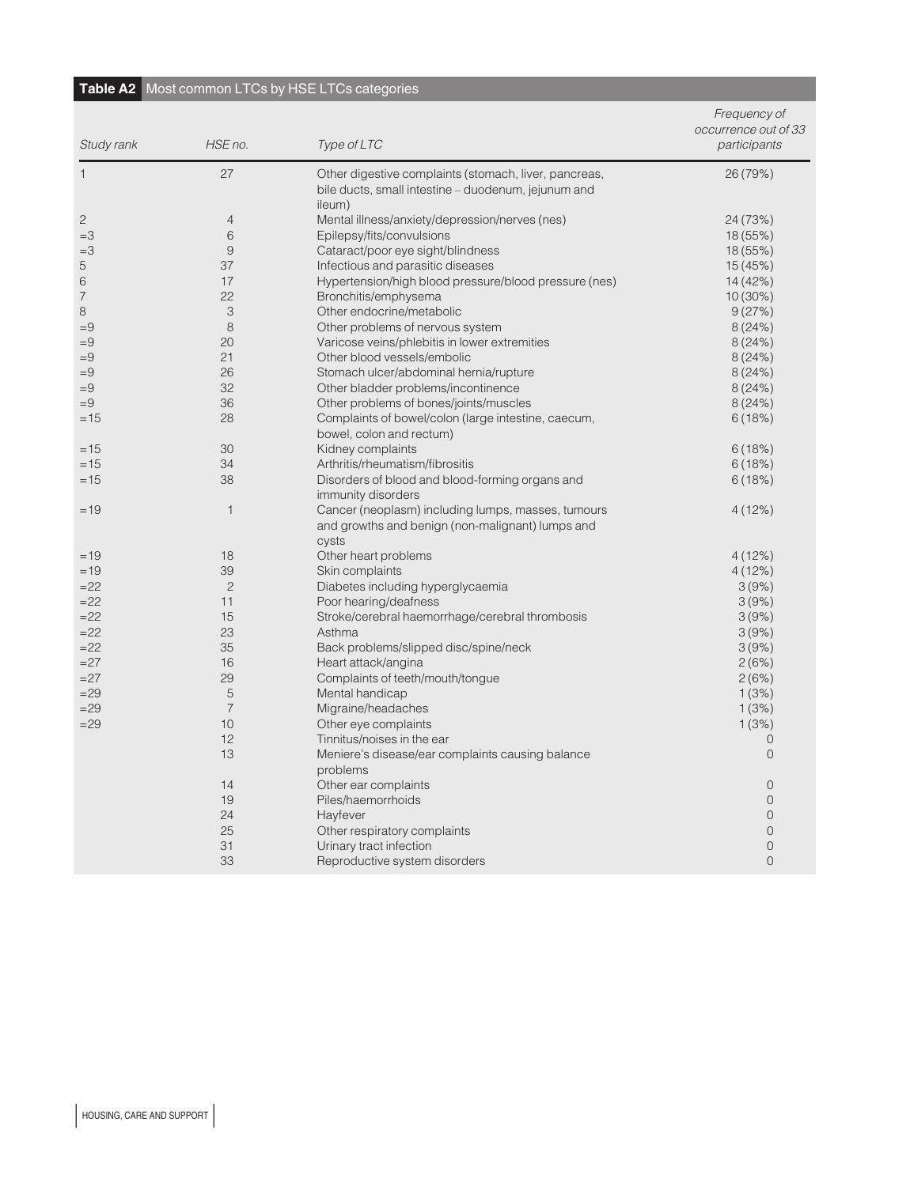# <span id="page-13-0"></span>Table A2 Most common LTCs by HSE LTCs categories

| Study rank     | HSE no.        | Type of LTC                                                                                                  | Frequency of<br>occurrence out of 33<br>participants |
|----------------|----------------|--------------------------------------------------------------------------------------------------------------|------------------------------------------------------|
| $\mathbf{1}$   | 27             | Other digestive complaints (stomach, liver, pancreas,<br>bile ducts, small intestine - duodenum, jejunum and | 26 (79%)                                             |
| $\mathbf{2}$   | $\overline{4}$ | ileum)<br>Mental illness/anxiety/depression/nerves (nes)                                                     |                                                      |
| $=3$           | 6              | Epilepsy/fits/convulsions                                                                                    | 24 (73%)<br>18 (55%)                                 |
| $=3$           | 9              | Cataract/poor eye sight/blindness                                                                            | 18 (55%)                                             |
| 5              | 37             | Infectious and parasitic diseases                                                                            | 15(45%)                                              |
| 6              | 17             | Hypertension/high blood pressure/blood pressure (nes)                                                        | 14 (42%)                                             |
| $\overline{7}$ | 22             | Bronchitis/emphysema                                                                                         | $10(30\%)$                                           |
| 8              | 3              | Other endocrine/metabolic                                                                                    | 9(27%)                                               |
| $=9$           | 8              | Other problems of nervous system                                                                             | 8(24%)                                               |
| $=9$           | 20             | Varicose veins/phlebitis in lower extremities                                                                | 8(24%)                                               |
| $=9$           | 21             | Other blood vessels/embolic                                                                                  | 8(24%)                                               |
| $=9$           | 26             | Stomach ulcer/abdominal hernia/rupture                                                                       | 8(24%)                                               |
| $=9$           | 32             | Other bladder problems/incontinence                                                                          | 8(24%)                                               |
| $=9$           | 36             | Other problems of bones/joints/muscles                                                                       | 8(24%)                                               |
| $=15$          | 28             | Complaints of bowel/colon (large intestine, caecum,                                                          | 6(18%)                                               |
|                |                | bowel, colon and rectum)                                                                                     |                                                      |
| $=15$          | 30             | Kidney complaints                                                                                            | 6(18%)                                               |
| $=15$          | 34             | Arthritis/rheumatism/fibrositis                                                                              | 6(18%)                                               |
| $=15$          | 38             | Disorders of blood and blood-forming organs and                                                              | 6(18%)                                               |
|                |                | immunity disorders                                                                                           |                                                      |
| $=19$          | $\mathbf{1}$   | Cancer (neoplasm) including lumps, masses, tumours                                                           | 4(12%)                                               |
|                |                | and growths and benign (non-malignant) lumps and                                                             |                                                      |
|                |                | cysts                                                                                                        |                                                      |
| $=19$          | 18             | Other heart problems                                                                                         | 4(12%)                                               |
| $=19$          | 39             | Skin complaints                                                                                              | 4(12%)                                               |
| $=22$          | $\overline{c}$ | Diabetes including hyperglycaemia                                                                            | 3(9%)                                                |
| $=22$          | 11             | Poor hearing/deafness                                                                                        | 3(9%)                                                |
| $=22$          | 15             | Stroke/cerebral haemorrhage/cerebral thrombosis                                                              | 3(9%)                                                |
| $=22$          | 23             | Asthma                                                                                                       | 3(9%)                                                |
| $=22$          | 35             | Back problems/slipped disc/spine/neck                                                                        | 3(9%)                                                |
| $=27$          | 16             | Heart attack/angina                                                                                          | 2(6%)                                                |
| $=27$          | 29             | Complaints of teeth/mouth/tongue                                                                             | 2(6%)                                                |
| $=29$          | 5              | Mental handicap                                                                                              | 1(3%)                                                |
| $=29$          | $\overline{7}$ | Migraine/headaches                                                                                           | 1(3%)                                                |
| $=29$          | 10             | Other eye complaints                                                                                         | 1(3%)                                                |
|                | 12             | Tinnitus/noises in the ear                                                                                   | $\mathbf 0$                                          |
|                | 13             | Meniere's disease/ear complaints causing balance                                                             | $\overline{O}$                                       |
|                |                | problems                                                                                                     |                                                      |
|                | 14             | Other ear complaints                                                                                         | $\overline{0}$                                       |
|                | 19             | Piles/haemorrhoids                                                                                           | 0                                                    |
|                | 24             | Hayfever                                                                                                     | $\mathbf{0}$                                         |
|                | 25             | Other respiratory complaints                                                                                 | $\overline{O}$                                       |
|                | 31             | Urinary tract infection                                                                                      | $\overline{0}$                                       |
|                | 33             | Reproductive system disorders                                                                                | $\overline{O}$                                       |
|                |                |                                                                                                              |                                                      |